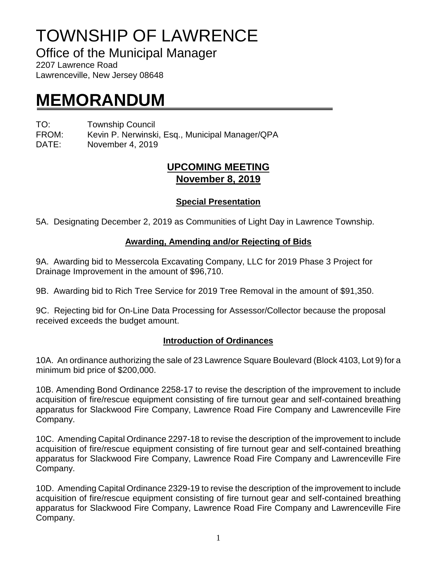# TOWNSHIP OF LAWRENCE

Office of the Municipal Manager

2207 Lawrence Road Lawrenceville, New Jersey 08648

## **MEMORANDUM**

TO: Township Council FROM: Kevin P. Nerwinski, Esq., Municipal Manager/QPA

DATE: November 4, 2019

## **UPCOMING MEETING November 8, 2019**

### **Special Presentation**

5A. Designating December 2, 2019 as Communities of Light Day in Lawrence Township.

#### **Awarding, Amending and/or Rejecting of Bids**

9A. Awarding bid to Messercola Excavating Company, LLC for 2019 Phase 3 Project for Drainage Improvement in the amount of \$96,710.

9B. Awarding bid to Rich Tree Service for 2019 Tree Removal in the amount of \$91,350.

9C. Rejecting bid for On-Line Data Processing for Assessor/Collector because the proposal received exceeds the budget amount.

### **Introduction of Ordinances**

10A. An ordinance authorizing the sale of 23 Lawrence Square Boulevard (Block 4103, Lot 9) for a minimum bid price of \$200,000.

10B. Amending Bond Ordinance 2258-17 to revise the description of the improvement to include acquisition of fire/rescue equipment consisting of fire turnout gear and self-contained breathing apparatus for Slackwood Fire Company, Lawrence Road Fire Company and Lawrenceville Fire Company.

10C. Amending Capital Ordinance 2297-18 to revise the description of the improvement to include acquisition of fire/rescue equipment consisting of fire turnout gear and self-contained breathing apparatus for Slackwood Fire Company, Lawrence Road Fire Company and Lawrenceville Fire Company.

10D. Amending Capital Ordinance 2329-19 to revise the description of the improvement to include acquisition of fire/rescue equipment consisting of fire turnout gear and self-contained breathing apparatus for Slackwood Fire Company, Lawrence Road Fire Company and Lawrenceville Fire Company.